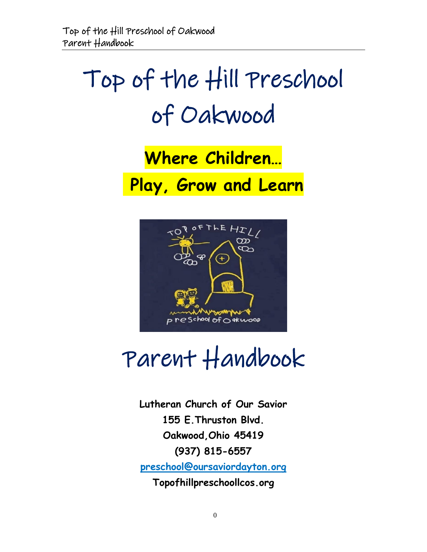# Top of the Hill Preschool of Oakwood

# **Where Children… Play, Grow and Learn**



# Parent Handbook

**Lutheran Church of Our Savior 155 E.Thruston Blvd. Oakwood,Ohio 45419 (937) 815-6557 [preschool@oursaviordayton.org](mailto:preschool@oursaviordayton.org) Topofhillpreschoollcos.org**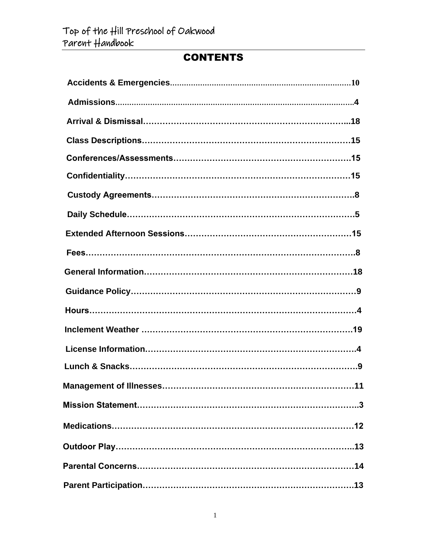# **CONTENTS**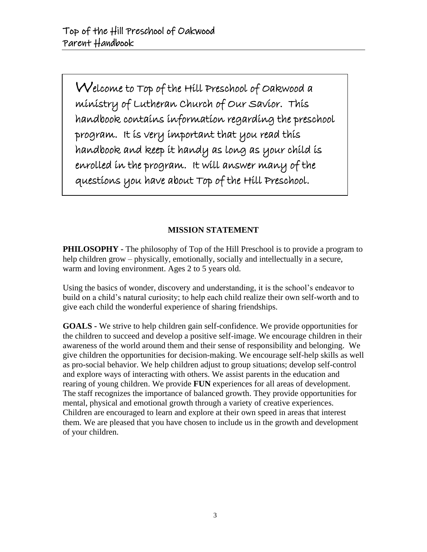Welcome to Top of the Hill Preschool of Oakwood a ministry of Lutheran Church of Our Savior. This handbook contains information regarding the preschool program. It is very important that you read this handbook and keep it handy as long as your child is enrolled in the program. It will answer many of the questions you have about Top of the Hill Preschool.

#### **MISSION STATEMENT**

**PHILOSOPHY** - The philosophy of Top of the Hill Preschool is to provide a program to help children grow – physically, emotionally, socially and intellectually in a secure, warm and loving environment. Ages 2 to 5 years old.

Using the basics of wonder, discovery and understanding, it is the school's endeavor to build on a child's natural curiosity; to help each child realize their own self-worth and to give each child the wonderful experience of sharing friendships.

**GOALS -** We strive to help children gain self-confidence. We provide opportunities for the children to succeed and develop a positive self-image. We encourage children in their awareness of the world around them and their sense of responsibility and belonging. We give children the opportunities for decision-making. We encourage self-help skills as well as pro-social behavior. We help children adjust to group situations; develop self-control and explore ways of interacting with others. We assist parents in the education and rearing of young children. We provide **FUN** experiences for all areas of development. The staff recognizes the importance of balanced growth. They provide opportunities for mental, physical and emotional growth through a variety of creative experiences. Children are encouraged to learn and explore at their own speed in areas that interest them. We are pleased that you have chosen to include us in the growth and development of your children.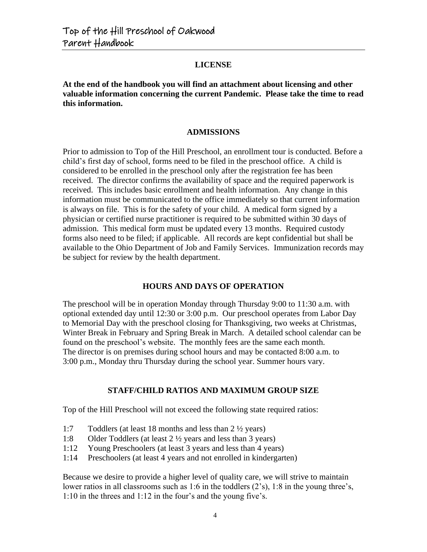#### **LICENSE**

**At the end of the handbook you will find an attachment about licensing and other valuable information concerning the current Pandemic. Please take the time to read this information.**

#### **ADMISSIONS**

Prior to admission to Top of the Hill Preschool, an enrollment tour is conducted. Before a child's first day of school, forms need to be filed in the preschool office. A child is considered to be enrolled in the preschool only after the registration fee has been received. The director confirms the availability of space and the required paperwork is received. This includes basic enrollment and health information. Any change in this information must be communicated to the office immediately so that current information is always on file. This is for the safety of your child. A medical form signed by a physician or certified nurse practitioner is required to be submitted within 30 days of admission. This medical form must be updated every 13 months. Required custody forms also need to be filed; if applicable. All records are kept confidential but shall be available to the Ohio Department of Job and Family Services. Immunization records may be subject for review by the health department.

#### **HOURS AND DAYS OF OPERATION**

The preschool will be in operation Monday through Thursday 9:00 to 11:30 a.m. with optional extended day until 12:30 or 3:00 p.m. Our preschool operates from Labor Day to Memorial Day with the preschool closing for Thanksgiving, two weeks at Christmas, Winter Break in February and Spring Break in March. A detailed school calendar can be found on the preschool's website. The monthly fees are the same each month. The director is on premises during school hours and may be contacted 8:00 a.m. to 3:00 p.m., Monday thru Thursday during the school year. Summer hours vary.

#### **STAFF/CHILD RATIOS AND MAXIMUM GROUP SIZE**

Top of the Hill Preschool will not exceed the following state required ratios:

- 1:7 Toddlers (at least 18 months and less than 2 ½ years)
- 1:8 Older Toddlers (at least 2 ½ years and less than 3 years)
- 1:12 Young Preschoolers (at least 3 years and less than 4 years)
- 1:14 Preschoolers (at least 4 years and not enrolled in kindergarten)

Because we desire to provide a higher level of quality care, we will strive to maintain lower ratios in all classrooms such as 1:6 in the toddlers (2's), 1:8 in the young three's, 1:10 in the threes and 1:12 in the four's and the young five's.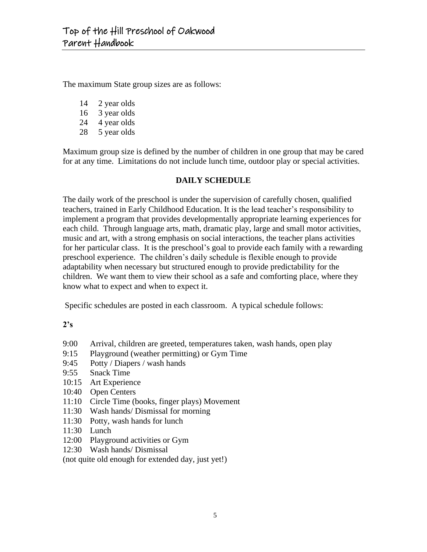The maximum State group sizes are as follows:

- 14 2 year olds
- 16 3 year olds
- 24 4 year olds
- 28 5 year olds

Maximum group size is defined by the number of children in one group that may be cared for at any time. Limitations do not include lunch time, outdoor play or special activities.

#### **DAILY SCHEDULE**

The daily work of the preschool is under the supervision of carefully chosen, qualified teachers, trained in Early Childhood Education. It is the lead teacher's responsibility to implement a program that provides developmentally appropriate learning experiences for each child. Through language arts, math, dramatic play, large and small motor activities, music and art, with a strong emphasis on social interactions, the teacher plans activities for her particular class. It is the preschool's goal to provide each family with a rewarding preschool experience. The children's daily schedule is flexible enough to provide adaptability when necessary but structured enough to provide predictability for the children. We want them to view their school as a safe and comforting place, where they know what to expect and when to expect it.

Specific schedules are posted in each classroom. A typical schedule follows:

#### **2's**

- 9:00 Arrival, children are greeted, temperatures taken, wash hands, open play
- 9:15 Playground (weather permitting) or Gym Time
- 9:45 Potty / Diapers / wash hands
- 9:55 Snack Time
- 10:15 Art Experience
- 10:40 Open Centers
- 11:10 Circle Time (books, finger plays) Movement
- 11:30 Wash hands/ Dismissal for morning
- 11:30 Potty, wash hands for lunch
- 11:30 Lunch
- 12:00 Playground activities or Gym
- 12:30 Wash hands/ Dismissal

(not quite old enough for extended day, just yet!)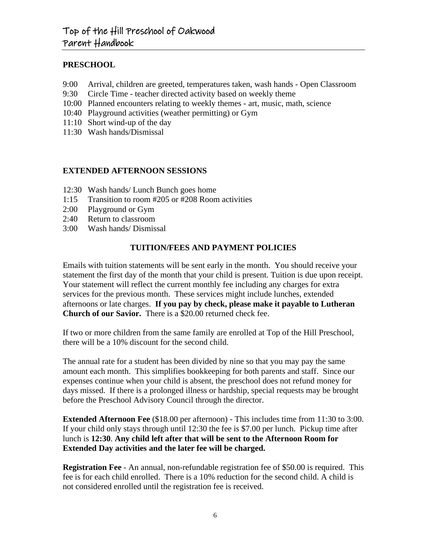#### **PRESCHOOL**

- 9:00 Arrival, children are greeted, temperatures taken, wash hands Open Classroom
- 9:30 Circle Time teacher directed activity based on weekly theme
- 10:00 Planned encounters relating to weekly themes art, music, math, science
- 10:40 Playground activities (weather permitting) or Gym
- 11:10 Short wind-up of the day
- 11:30 Wash hands/Dismissal

#### **EXTENDED AFTERNOON SESSIONS**

- 12:30 Wash hands/ Lunch Bunch goes home
- 1:15 Transition to room #205 or #208 Room activities
- 2:00 Playground or Gym
- 2:40 Return to classroom
- 3:00 Wash hands/ Dismissal

#### **TUITION/FEES AND PAYMENT POLICIES**

Emails with tuition statements will be sent early in the month. You should receive your statement the first day of the month that your child is present. Tuition is due upon receipt. Your statement will reflect the current monthly fee including any charges for extra services for the previous month. These services might include lunches, extended afternoons or late charges. **If you pay by check, please make it payable to Lutheran Church of our Savior.** There is a \$20.00 returned check fee.

If two or more children from the same family are enrolled at Top of the Hill Preschool, there will be a 10% discount for the second child.

The annual rate for a student has been divided by nine so that you may pay the same amount each month. This simplifies bookkeeping for both parents and staff. Since our expenses continue when your child is absent, the preschool does not refund money for days missed. If there is a prolonged illness or hardship, special requests may be brought before the Preschool Advisory Council through the director.

**Extended Afternoon Fee** (\$18.00 per afternoon) - This includes time from 11:30 to 3:00. If your child only stays through until 12:30 the fee is \$7.00 per lunch. Pickup time after lunch is **12:30**. **Any child left after that will be sent to the Afternoon Room for Extended Day activities and the later fee will be charged.**

**Registration Fee** - An annual, non-refundable registration fee of \$50.00 is required. This fee is for each child enrolled. There is a 10% reduction for the second child. A child is not considered enrolled until the registration fee is received.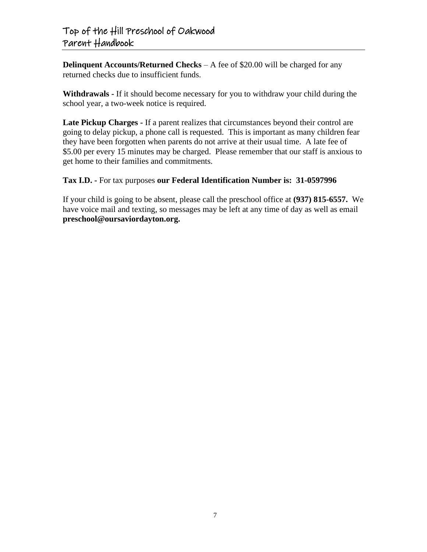**Delinquent Accounts/Returned Checks** – A fee of \$20.00 will be charged for any returned checks due to insufficient funds.

**Withdrawals -** If it should become necessary for you to withdraw your child during the school year, a two-week notice is required.

**Late Pickup Charges -** If a parent realizes that circumstances beyond their control are going to delay pickup, a phone call is requested. This is important as many children fear they have been forgotten when parents do not arrive at their usual time. A late fee of \$5.00 per every 15 minutes may be charged. Please remember that our staff is anxious to get home to their families and commitments.

#### **Tax I.D. -** For tax purposes **our Federal Identification Number is: 31-0597996**

If your child is going to be absent, please call the preschool office at **(937) 815-6557.** We have voice mail and texting, so messages may be left at any time of day as well as email **preschool@oursaviordayton.org.**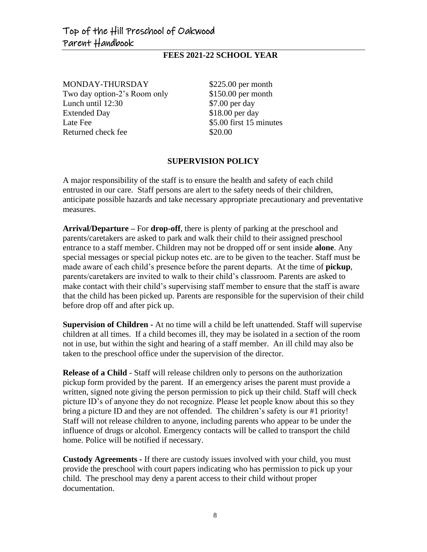#### **FEES 2021-22 SCHOOL YEAR**

MONDAY-THURSDAY \$225.00 per month Two day option-2's Room only \$150.00 per month Lunch until 12:30 \$7.00 per day Extended Day \$18.00 per day Late Fee  $$5.00$  first 15 minutes Returned check fee \$20.00

#### **SUPERVISION POLICY**

A major responsibility of the staff is to ensure the health and safety of each child entrusted in our care. Staff persons are alert to the safety needs of their children, anticipate possible hazards and take necessary appropriate precautionary and preventative measures.

**Arrival/Departure –** For **drop-off**, there is plenty of parking at the preschool and parents/caretakers are asked to park and walk their child to their assigned preschool entrance to a staff member. Children may not be dropped off or sent inside **alone**. Any special messages or special pickup notes etc. are to be given to the teacher. Staff must be made aware of each child's presence before the parent departs. At the time of **pickup**, parents/caretakers are invited to walk to their child's classroom. Parents are asked to make contact with their child's supervising staff member to ensure that the staff is aware that the child has been picked up. Parents are responsible for the supervision of their child before drop off and after pick up.

**Supervision of Children -** At no time will a child be left unattended. Staff will supervise children at all times. If a child becomes ill, they may be isolated in a section of the room not in use, but within the sight and hearing of a staff member. An ill child may also be taken to the preschool office under the supervision of the director.

**Release of a Child** - Staff will release children only to persons on the authorization pickup form provided by the parent. If an emergency arises the parent must provide a written, signed note giving the person permission to pick up their child. Staff will check picture ID's of anyone they do not recognize. Please let people know about this so they bring a picture ID and they are not offended. The children's safety is our #1 priority! Staff will not release children to anyone, including parents who appear to be under the influence of drugs or alcohol. Emergency contacts will be called to transport the child home. Police will be notified if necessary.

**Custody Agreements -** If there are custody issues involved with your child, you must provide the preschool with court papers indicating who has permission to pick up your child. The preschool may deny a parent access to their child without proper documentation.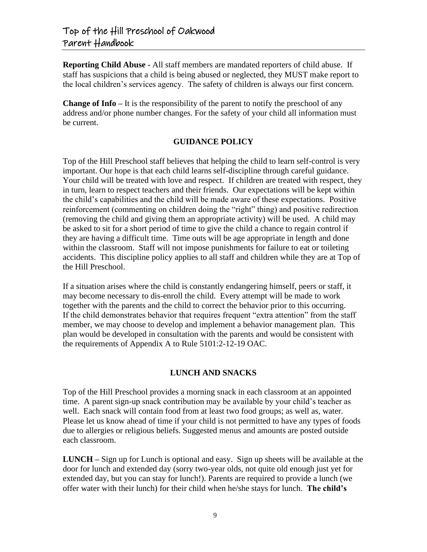**Reporting Child Abuse -** All staff members are mandated reporters of child abuse. If staff has suspicions that a child is being abused or neglected, they MUST make report to the local children's services agency. The safety of children is always our first concern.

**Change of Info –** It is the responsibility of the parent to notify the preschool of any address and/or phone number changes. For the safety of your child all information must be current.

#### **GUIDANCE POLICY**

Top of the Hill Preschool staff believes that helping the child to learn self-control is very important. Our hope is that each child learns self-discipline through careful guidance. Your child will be treated with love and respect. If children are treated with respect, they in turn, learn to respect teachers and their friends. Our expectations will be kept within the child's capabilities and the child will be made aware of these expectations. Positive reinforcement (commenting on children doing the "right" thing) and positive redirection (removing the child and giving them an appropriate activity) will be used. A child may be asked to sit for a short period of time to give the child a chance to regain control if they are having a difficult time. Time outs will be age appropriate in length and done within the classroom. Staff will not impose punishments for failure to eat or toileting accidents. This discipline policy applies to all staff and children while they are at Top of the Hill Preschool.

If a situation arises where the child is constantly endangering himself, peers or staff, it may become necessary to dis-enroll the child. Every attempt will be made to work together with the parents and the child to correct the behavior prior to this occurring. If the child demonstrates behavior that requires frequent "extra attention" from the staff member, we may choose to develop and implement a behavior management plan. This plan would be developed in consultation with the parents and would be consistent with the requirements of Appendix A to Rule 5101:2-12-19 OAC.

#### **LUNCH AND SNACKS**

Top of the Hill Preschool provides a morning snack in each classroom at an appointed time. A parent sign-up snack contribution may be available by your child's teacher as well. Each snack will contain food from at least two food groups; as well as, water. Please let us know ahead of time if your child is not permitted to have any types of foods due to allergies or religious beliefs. Suggested menus and amounts are posted outside each classroom.

**LUNCH –** Sign up for Lunch is optional and easy. Sign up sheets will be available at the door for lunch and extended day (sorry two-year olds, not quite old enough just yet for extended day, but you can stay for lunch!). Parents are required to provide a lunch (we offer water with their lunch) for their child when he/she stays for lunch. **The child's**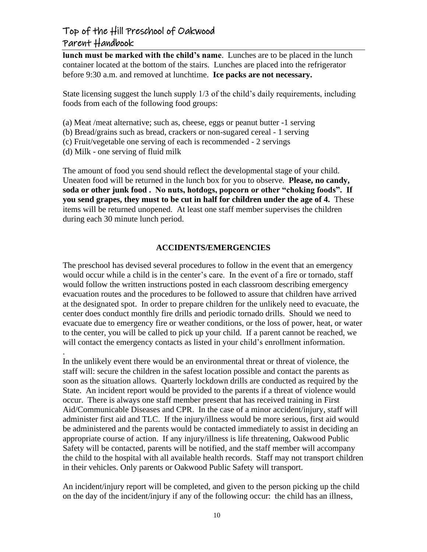**lunch must be marked with the child's name**. Lunches are to be placed in the lunch container located at the bottom of the stairs. Lunches are placed into the refrigerator before 9:30 a.m. and removed at lunchtime. **Ice packs are not necessary.** 

State licensing suggest the lunch supply 1/3 of the child's daily requirements, including foods from each of the following food groups:

- (a) Meat /meat alternative; such as, cheese, eggs or peanut butter -1 serving
- (b) Bread/grains such as bread, crackers or non-sugared cereal 1 serving
- (c) Fruit/vegetable one serving of each is recommended 2 servings
- (d) Milk one serving of fluid milk

.

The amount of food you send should reflect the developmental stage of your child. Uneaten food will be returned in the lunch box for you to observe. **Please, no candy, soda or other junk food . No nuts, hotdogs, popcorn or other "choking foods". If you send grapes, they must to be cut in half for children under the age of 4.** These items will be returned unopened. At least one staff member supervises the children during each 30 minute lunch period.

#### **ACCIDENTS/EMERGENCIES**

The preschool has devised several procedures to follow in the event that an emergency would occur while a child is in the center's care. In the event of a fire or tornado, staff would follow the written instructions posted in each classroom describing emergency evacuation routes and the procedures to be followed to assure that children have arrived at the designated spot. In order to prepare children for the unlikely need to evacuate, the center does conduct monthly fire drills and periodic tornado drills. Should we need to evacuate due to emergency fire or weather conditions, or the loss of power, heat, or water to the center, you will be called to pick up your child. If a parent cannot be reached, we will contact the emergency contacts as listed in your child's enrollment information.

In the unlikely event there would be an environmental threat or threat of violence, the staff will: secure the children in the safest location possible and contact the parents as soon as the situation allows. Quarterly lockdown drills are conducted as required by the State. An incident report would be provided to the parents if a threat of violence would occur. There is always one staff member present that has received training in First Aid/Communicable Diseases and CPR. In the case of a minor accident/injury, staff will administer first aid and TLC. If the injury/illness would be more serious, first aid would be administered and the parents would be contacted immediately to assist in deciding an appropriate course of action. If any injury/illness is life threatening, Oakwood Public Safety will be contacted, parents will be notified, and the staff member will accompany the child to the hospital with all available health records. Staff may not transport children in their vehicles. Only parents or Oakwood Public Safety will transport.

An incident/injury report will be completed, and given to the person picking up the child on the day of the incident/injury if any of the following occur: the child has an illness,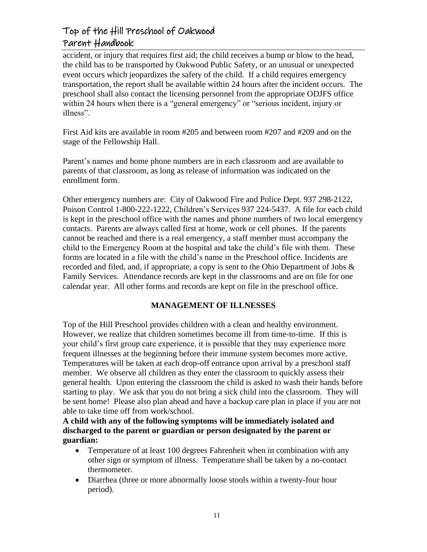accident, or injury that requires first aid; the child receives a bump or blow to the head, the child has to be transported by Oakwood Public Safety, or an unusual or unexpected event occurs which jeopardizes the safety of the child. If a child requires emergency transportation, the report shall be available within 24 hours after the incident occurs. The preschool shall also contact the licensing personnel from the appropriate ODJFS office within 24 hours when there is a "general emergency" or "serious incident, injury or illness".

First Aid kits are available in room #205 and between room #207 and #209 and on the stage of the Fellowship Hall.

Parent's names and home phone numbers are in each classroom and are available to parents of that classroom, as long as release of information was indicated on the enrollment form.

Other emergency numbers are: City of Oakwood Fire and Police Dept. 937 298-2122, Poison Control 1-800-222-1222, Children's Services 937 224-5437. A file for each child is kept in the preschool office with the names and phone numbers of two local emergency contacts. Parents are always called first at home, work or cell phones. If the parents cannot be reached and there is a real emergency, a staff member must accompany the child to the Emergency Room at the hospital and take the child's file with them. These forms are located in a file with the child's name in the Preschool office. Incidents are recorded and filed, and, if appropriate, a copy is sent to the Ohio Department of Jobs  $\&$ Family Services. Attendance records are kept in the classrooms and are on file for one calendar year. All other forms and records are kept on file in the preschool office.

#### **MANAGEMENT OF ILLNESSES**

Top of the Hill Preschool provides children with a clean and healthy environment. However, we realize that children sometimes become ill from time-to-time. If this is your child's first group care experience, it is possible that they may experience more frequent illnesses at the beginning before their immune system becomes more active. Temperatures will be taken at each drop-off entrance upon arrival by a preschool staff member. We observe all children as they enter the classroom to quickly assess their general health. Upon entering the classroom the child is asked to wash their hands before starting to play. We ask that you do not bring a sick child into the classroom. They will be sent home! Please also plan ahead and have a backup care plan in place if you are not able to take time off from work/school.

**A child with any of the following symptoms will be immediately isolated and discharged to the parent or guardian or person designated by the parent or guardian:**

- Temperature of at least 100 degrees Fahrenheit when in combination with any other sign or symptom of illness. Temperature shall be taken by a no-contact thermometer.
- Diarrhea (three or more abnormally loose stools within a twenty-four hour period).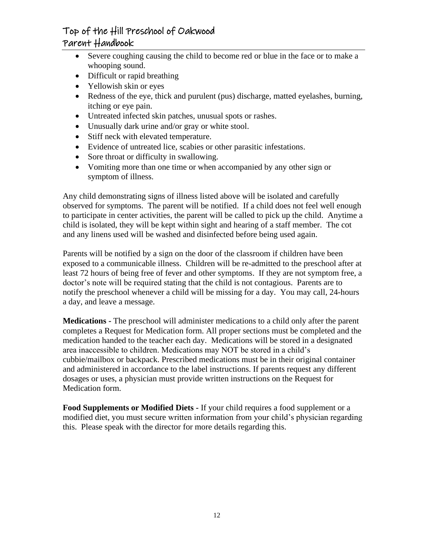- Severe coughing causing the child to become red or blue in the face or to make a whooping sound.
- Difficult or rapid breathing
- Yellowish skin or eyes
- Redness of the eye, thick and purulent (pus) discharge, matted eyelashes, burning, itching or eye pain.
- Untreated infected skin patches, unusual spots or rashes.
- Unusually dark urine and/or gray or white stool.
- Stiff neck with elevated temperature.
- Evidence of untreated lice, scabies or other parasitic infestations.
- Sore throat or difficulty in swallowing.
- Vomiting more than one time or when accompanied by any other sign or symptom of illness.

Any child demonstrating signs of illness listed above will be isolated and carefully observed for symptoms. The parent will be notified. If a child does not feel well enough to participate in center activities, the parent will be called to pick up the child. Anytime a child is isolated, they will be kept within sight and hearing of a staff member. The cot and any linens used will be washed and disinfected before being used again.

Parents will be notified by a sign on the door of the classroom if children have been exposed to a communicable illness. Children will be re-admitted to the preschool after at least 72 hours of being free of fever and other symptoms. If they are not symptom free, a doctor's note will be required stating that the child is not contagious. Parents are to notify the preschool whenever a child will be missing for a day. You may call, 24-hours a day, and leave a message.

**Medications -** The preschool will administer medications to a child only after the parent completes a Request for Medication form. All proper sections must be completed and the medication handed to the teacher each day. Medications will be stored in a designated area inaccessible to children. Medications may NOT be stored in a child's cubbie/mailbox or backpack. Prescribed medications must be in their original container and administered in accordance to the label instructions. If parents request any different dosages or uses, a physician must provide written instructions on the Request for Medication form.

**Food Supplements or Modified Diets -** If your child requires a food supplement or a modified diet, you must secure written information from your child's physician regarding this. Please speak with the director for more details regarding this.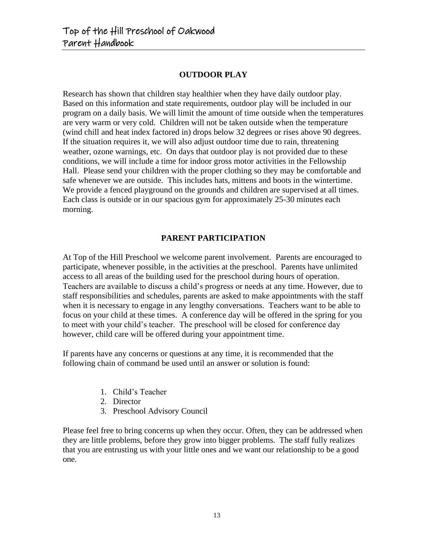#### **OUTDOOR PLAY**

Research has shown that children stay healthier when they have daily outdoor play. Based on this information and state requirements, outdoor play will be included in our program on a daily basis. We will limit the amount of time outside when the temperatures are very warm or very cold. Children will not be taken outside when the temperature (wind chill and heat index factored in) drops below 32 degrees or rises above 90 degrees. If the situation requires it, we will also adjust outdoor time due to rain, threatening weather, ozone warnings, etc. On days that outdoor play is not provided due to these conditions, we will include a time for indoor gross motor activities in the Fellowship Hall. Please send your children with the proper clothing so they may be comfortable and safe whenever we are outside. This includes hats, mittens and boots in the wintertime. We provide a fenced playground on the grounds and children are supervised at all times. Each class is outside or in our spacious gym for approximately 25-30 minutes each morning.

#### **PARENT PARTICIPATION**

At Top of the Hill Preschool we welcome parent involvement. Parents are encouraged to participate, whenever possible, in the activities at the preschool. Parents have unlimited access to all areas of the building used for the preschool during hours of operation. Teachers are available to discuss a child's progress or needs at any time. However, due to staff responsibilities and schedules, parents are asked to make appointments with the staff when it is necessary to engage in any lengthy conversations. Teachers want to be able to focus on your child at these times. A conference day will be offered in the spring for you to meet with your child's teacher. The preschool will be closed for conference day however, child care will be offered during your appointment time.

If parents have any concerns or questions at any time, it is recommended that the following chain of command be used until an answer or solution is found:

- 1. Child's Teacher
- 2. Director
- 3. Preschool Advisory Council

Please feel free to bring concerns up when they occur. Often, they can be addressed when they are little problems, before they grow into bigger problems. The staff fully realizes that you are entrusting us with your little ones and we want our relationship to be a good one.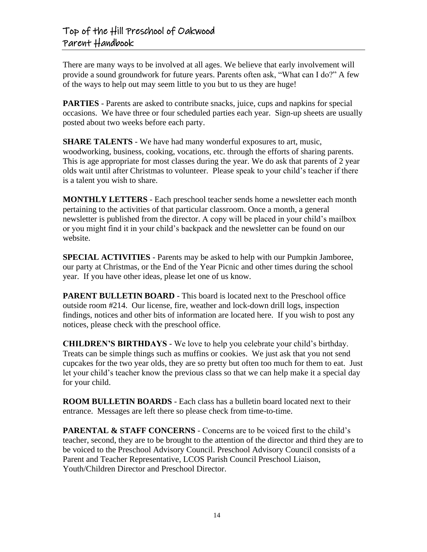There are many ways to be involved at all ages. We believe that early involvement will provide a sound groundwork for future years. Parents often ask, "What can I do?" A few of the ways to help out may seem little to you but to us they are huge!

**PARTIES** - Parents are asked to contribute snacks, juice, cups and napkins for special occasions. We have three or four scheduled parties each year. Sign-up sheets are usually posted about two weeks before each party.

**SHARE TALENTS** - We have had many wonderful exposures to art, music, woodworking, business, cooking, vocations, etc. through the efforts of sharing parents. This is age appropriate for most classes during the year. We do ask that parents of 2 year olds wait until after Christmas to volunteer. Please speak to your child's teacher if there is a talent you wish to share.

**MONTHLY LETTERS** - Each preschool teacher sends home a newsletter each month pertaining to the activities of that particular classroom. Once a month, a general newsletter is published from the director. A copy will be placed in your child's mailbox or you might find it in your child's backpack and the newsletter can be found on our website.

**SPECIAL ACTIVITIES** - Parents may be asked to help with our Pumpkin Jamboree, our party at Christmas, or the End of the Year Picnic and other times during the school year. If you have other ideas, please let one of us know.

**PARENT BULLETIN BOARD** - This board is located next to the Preschool office outside room #214. Our license, fire, weather and lock-down drill logs, inspection findings, notices and other bits of information are located here. If you wish to post any notices, please check with the preschool office.

**CHILDREN'S BIRTHDAYS** - We love to help you celebrate your child's birthday. Treats can be simple things such as muffins or cookies. We just ask that you not send cupcakes for the two year olds, they are so pretty but often too much for them to eat. Just let your child's teacher know the previous class so that we can help make it a special day for your child.

**ROOM BULLETIN BOARDS** - Each class has a bulletin board located next to their entrance. Messages are left there so please check from time-to-time.

**PARENTAL & STAFF CONCERNS** - Concerns are to be voiced first to the child's teacher, second, they are to be brought to the attention of the director and third they are to be voiced to the Preschool Advisory Council. Preschool Advisory Council consists of a Parent and Teacher Representative, LCOS Parish Council Preschool Liaison, Youth/Children Director and Preschool Director.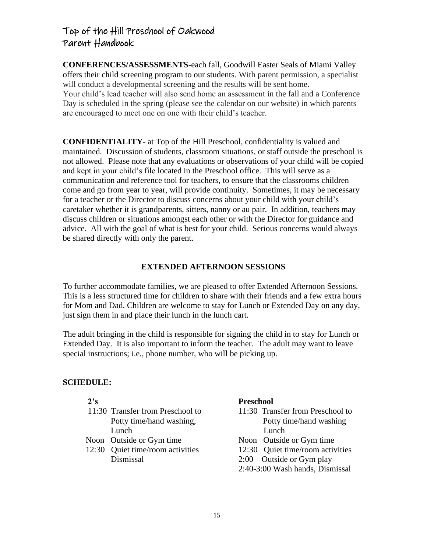are encouraged to meet one on one with their child's teacher.

**CONFERENCES/ASSESSMENTS-**each fall, Goodwill Easter Seals of Miami Valley offers their child screening program to our students. With parent permission, a specialist will conduct a developmental screening and the results will be sent home. Your child's lead teacher will also send home an assessment in the fall and a Conference Day is scheduled in the spring (please see the calendar on our website) in which parents

**CONFIDENTIALITY-** at Top of the Hill Preschool, confidentiality is valued and maintained. Discussion of students, classroom situations, or staff outside the preschool is not allowed. Please note that any evaluations or observations of your child will be copied and kept in your child's file located in the Preschool office. This will serve as a communication and reference tool for teachers, to ensure that the classrooms children come and go from year to year, will provide continuity. Sometimes, it may be necessary for a teacher or the Director to discuss concerns about your child with your child's caretaker whether it is grandparents, sitters, nanny or au pair. In addition, teachers may discuss children or situations amongst each other or with the Director for guidance and advice. All with the goal of what is best for your child. Serious concerns would always be shared directly with only the parent.

#### **EXTENDED AFTERNOON SESSIONS**

To further accommodate families, we are pleased to offer Extended Afternoon Sessions. This is a less structured time for children to share with their friends and a few extra hours for Mom and Dad. Children are welcome to stay for Lunch or Extended Day on any day, just sign them in and place their lunch in the lunch cart.

The adult bringing in the child is responsible for signing the child in to stay for Lunch or Extended Day. It is also important to inform the teacher. The adult may want to leave special instructions; i.e., phone number, who will be picking up.

#### **SCHEDULE:**

| 2's |                                  | <b>Preschool</b> |                                  |
|-----|----------------------------------|------------------|----------------------------------|
|     | 11:30 Transfer from Preschool to |                  | 11:30 Transfer from Preschool to |
|     | Potty time/hand washing,         |                  | Potty time/hand washing          |
|     | Lunch                            |                  | Lunch                            |
|     | Noon Outside or Gym time         |                  | Noon Outside or Gym time         |
|     | 12:30 Quiet time/room activities |                  | 12:30 Quiet time/room activities |
|     | Dismissal                        | 2:00             | Outside or Gym play              |
|     |                                  |                  | 2:40-3:00 Wash hands, Dismissal  |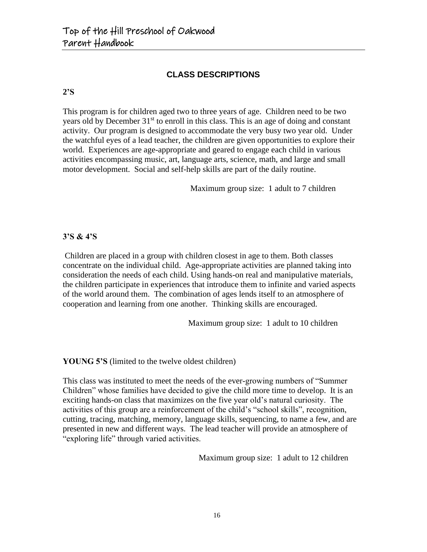#### **CLASS DESCRIPTIONS**

#### **2'S**

This program is for children aged two to three years of age. Children need to be two years old by December 31<sup>st</sup> to enroll in this class. This is an age of doing and constant activity. Our program is designed to accommodate the very busy two year old. Under the watchful eyes of a lead teacher, the children are given opportunities to explore their world. Experiences are age-appropriate and geared to engage each child in various activities encompassing music, art, language arts, science, math, and large and small motor development. Social and self-help skills are part of the daily routine.

Maximum group size: 1 adult to 7 children

#### **3'S & 4'S**

Children are placed in a group with children closest in age to them. Both classes concentrate on the individual child. Age-appropriate activities are planned taking into consideration the needs of each child. Using hands-on real and manipulative materials, the children participate in experiences that introduce them to infinite and varied aspects of the world around them. The combination of ages lends itself to an atmosphere of cooperation and learning from one another. Thinking skills are encouraged.

Maximum group size: 1 adult to 10 children

**YOUNG 5'S** (limited to the twelve oldest children)

This class was instituted to meet the needs of the ever-growing numbers of "Summer Children" whose families have decided to give the child more time to develop. It is an exciting hands-on class that maximizes on the five year old's natural curiosity. The activities of this group are a reinforcement of the child's "school skills", recognition, cutting, tracing, matching, memory, language skills, sequencing, to name a few, and are presented in new and different ways. The lead teacher will provide an atmosphere of "exploring life" through varied activities.

Maximum group size: 1 adult to 12 children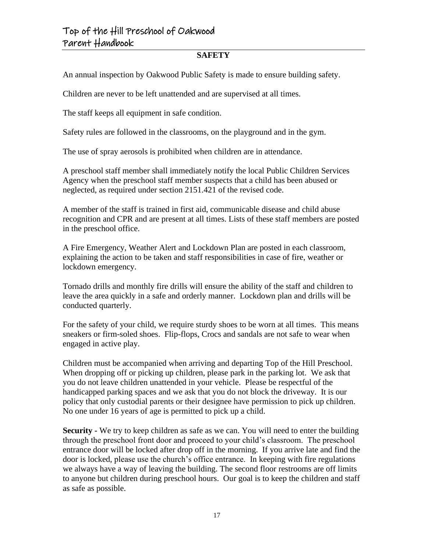#### **SAFETY**

An annual inspection by Oakwood Public Safety is made to ensure building safety.

Children are never to be left unattended and are supervised at all times.

The staff keeps all equipment in safe condition.

Safety rules are followed in the classrooms, on the playground and in the gym.

The use of spray aerosols is prohibited when children are in attendance.

A preschool staff member shall immediately notify the local Public Children Services Agency when the preschool staff member suspects that a child has been abused or neglected, as required under section 2151.421 of the revised code.

A member of the staff is trained in first aid, communicable disease and child abuse recognition and CPR and are present at all times. Lists of these staff members are posted in the preschool office.

A Fire Emergency, Weather Alert and Lockdown Plan are posted in each classroom, explaining the action to be taken and staff responsibilities in case of fire, weather or lockdown emergency.

Tornado drills and monthly fire drills will ensure the ability of the staff and children to leave the area quickly in a safe and orderly manner. Lockdown plan and drills will be conducted quarterly.

For the safety of your child, we require sturdy shoes to be worn at all times. This means sneakers or firm-soled shoes. Flip-flops, Crocs and sandals are not safe to wear when engaged in active play.

Children must be accompanied when arriving and departing Top of the Hill Preschool. When dropping off or picking up children, please park in the parking lot. We ask that you do not leave children unattended in your vehicle. Please be respectful of the handicapped parking spaces and we ask that you do not block the driveway. It is our policy that only custodial parents or their designee have permission to pick up children. No one under 16 years of age is permitted to pick up a child.

**Security -** We try to keep children as safe as we can. You will need to enter the building through the preschool front door and proceed to your child's classroom. The preschool entrance door will be locked after drop off in the morning. If you arrive late and find the door is locked, please use the church's office entrance. In keeping with fire regulations we always have a way of leaving the building. The second floor restrooms are off limits to anyone but children during preschool hours. Our goal is to keep the children and staff as safe as possible.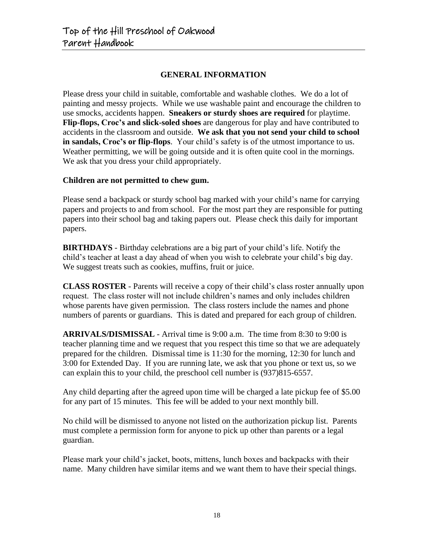#### **GENERAL INFORMATION**

Please dress your child in suitable, comfortable and washable clothes. We do a lot of painting and messy projects. While we use washable paint and encourage the children to use smocks, accidents happen. **Sneakers or sturdy shoes are required** for playtime. **Flip-flops, Croc's and slick-soled shoes** are dangerous for play and have contributed to accidents in the classroom and outside. **We ask that you not send your child to school in sandals, Croc's or flip-flops**. Your child's safety is of the utmost importance to us. Weather permitting, we will be going outside and it is often quite cool in the mornings. We ask that you dress your child appropriately.

#### **Children are not permitted to chew gum.**

Please send a backpack or sturdy school bag marked with your child's name for carrying papers and projects to and from school. For the most part they are responsible for putting papers into their school bag and taking papers out. Please check this daily for important papers.

**BIRTHDAYS** - Birthday celebrations are a big part of your child's life. Notify the child's teacher at least a day ahead of when you wish to celebrate your child's big day. We suggest treats such as cookies, muffins, fruit or juice.

**CLASS ROSTER** - Parents will receive a copy of their child's class roster annually upon request. The class roster will not include children's names and only includes children whose parents have given permission. The class rosters include the names and phone numbers of parents or guardians. This is dated and prepared for each group of children.

**ARRIVALS/DISMISSAL** - Arrival time is 9:00 a.m. The time from 8:30 to 9:00 is teacher planning time and we request that you respect this time so that we are adequately prepared for the children. Dismissal time is 11:30 for the morning, 12:30 for lunch and 3:00 for Extended Day. If you are running late, we ask that you phone or text us, so we can explain this to your child, the preschool cell number is (937)815-6557.

Any child departing after the agreed upon time will be charged a late pickup fee of \$5.00 for any part of 15 minutes. This fee will be added to your next monthly bill.

No child will be dismissed to anyone not listed on the authorization pickup list. Parents must complete a permission form for anyone to pick up other than parents or a legal guardian.

Please mark your child's jacket, boots, mittens, lunch boxes and backpacks with their name. Many children have similar items and we want them to have their special things.